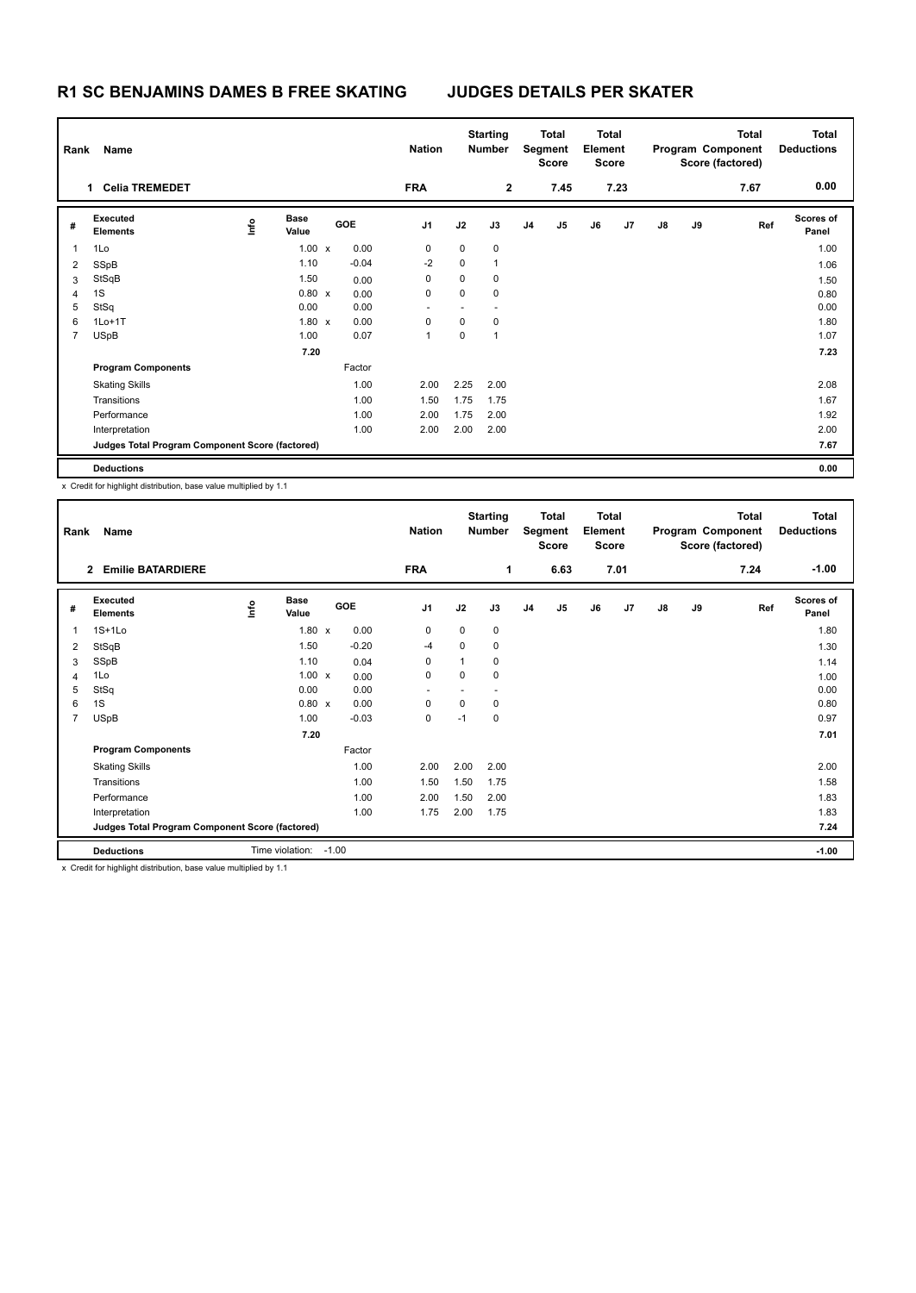## **R1 SC BENJAMINS DAMES B FREE SKATING JUDGES DETAILS PER SKATER**

| Rank | Name                                            |    |                      |         | <b>Nation</b>  |      | <b>Starting</b><br><b>Number</b> |                | Total<br>Segment<br><b>Score</b> | <b>Total</b><br>Element<br><b>Score</b> |      |               |    | <b>Total</b><br>Program Component<br>Score (factored) | <b>Total</b><br><b>Deductions</b> |
|------|-------------------------------------------------|----|----------------------|---------|----------------|------|----------------------------------|----------------|----------------------------------|-----------------------------------------|------|---------------|----|-------------------------------------------------------|-----------------------------------|
|      | <b>Celia TREMEDET</b><br>1                      |    |                      |         | <b>FRA</b>     |      | $\mathbf{2}$                     |                | 7.45                             |                                         | 7.23 |               |    | 7.67                                                  | 0.00                              |
| #    | Executed<br><b>Elements</b>                     | ۴ô | <b>Base</b><br>Value | GOE     | J <sub>1</sub> | J2   | J3                               | J <sub>4</sub> | J <sub>5</sub>                   | J6                                      | J7   | $\mathsf{J}8$ | J9 | Ref                                                   | <b>Scores of</b><br>Panel         |
| 1    | 1Lo                                             |    | $1.00 \times$        | 0.00    | 0              | 0    | $\mathbf 0$                      |                |                                  |                                         |      |               |    |                                                       | 1.00                              |
| 2    | SSpB                                            |    | 1.10                 | $-0.04$ | $-2$           | 0    | $\mathbf{1}$                     |                |                                  |                                         |      |               |    |                                                       | 1.06                              |
| 3    | StSqB                                           |    | 1.50                 | 0.00    | 0              | 0    | 0                                |                |                                  |                                         |      |               |    |                                                       | 1.50                              |
| 4    | 1S                                              |    | $0.80 \times$        | 0.00    | 0              | 0    | $\mathbf 0$                      |                |                                  |                                         |      |               |    |                                                       | 0.80                              |
| 5    | StSq                                            |    | 0.00                 | 0.00    |                |      |                                  |                |                                  |                                         |      |               |    |                                                       | 0.00                              |
| 6    | $1Lo+1T$                                        |    | $1.80 \times$        | 0.00    | 0              | 0    | 0                                |                |                                  |                                         |      |               |    |                                                       | 1.80                              |
| 7    | <b>USpB</b>                                     |    | 1.00                 | 0.07    | 1              | 0    | $\overline{1}$                   |                |                                  |                                         |      |               |    |                                                       | 1.07                              |
|      |                                                 |    | 7.20                 |         |                |      |                                  |                |                                  |                                         |      |               |    |                                                       | 7.23                              |
|      | <b>Program Components</b>                       |    |                      | Factor  |                |      |                                  |                |                                  |                                         |      |               |    |                                                       |                                   |
|      | <b>Skating Skills</b>                           |    |                      | 1.00    | 2.00           | 2.25 | 2.00                             |                |                                  |                                         |      |               |    |                                                       | 2.08                              |
|      | Transitions                                     |    |                      | 1.00    | 1.50           | 1.75 | 1.75                             |                |                                  |                                         |      |               |    |                                                       | 1.67                              |
|      | Performance                                     |    |                      | 1.00    | 2.00           | 1.75 | 2.00                             |                |                                  |                                         |      |               |    |                                                       | 1.92                              |
|      | Interpretation                                  |    |                      | 1.00    | 2.00           | 2.00 | 2.00                             |                |                                  |                                         |      |               |    |                                                       | 2.00                              |
|      | Judges Total Program Component Score (factored) |    |                      |         |                |      |                                  |                |                                  |                                         |      |               |    |                                                       | 7.67                              |
|      | <b>Deductions</b>                               |    |                      |         |                |      |                                  |                |                                  |                                         |      |               |    |                                                       | 0.00                              |

x Credit for highlight distribution, base value multiplied by 1.1

| Rank           | Name                                                                |   |                      |         |         | <b>Nation</b>  |      | <b>Starting</b><br><b>Number</b> |                | <b>Total</b><br>Segment<br>Score | <b>Total</b><br>Element<br><b>Score</b> |      |               |    | <b>Total</b><br>Program Component<br>Score (factored) | <b>Total</b><br><b>Deductions</b> |
|----------------|---------------------------------------------------------------------|---|----------------------|---------|---------|----------------|------|----------------------------------|----------------|----------------------------------|-----------------------------------------|------|---------------|----|-------------------------------------------------------|-----------------------------------|
|                | $\mathbf{2}$<br><b>Emilie BATARDIERE</b>                            |   |                      |         |         | <b>FRA</b>     |      | 1                                |                | 6.63                             |                                         | 7.01 |               |    | 7.24                                                  | $-1.00$                           |
| #              | Executed<br><b>Elements</b>                                         | e | <b>Base</b><br>Value |         | GOE     | J <sub>1</sub> | J2   | J3                               | J <sub>4</sub> | J5                               | J6                                      | J7   | $\mathsf{J}8$ | J9 | Ref                                                   | Scores of<br>Panel                |
| 1              | $1S+1Lo$                                                            |   | $1.80 \times$        |         | 0.00    | 0              | 0    | 0                                |                |                                  |                                         |      |               |    |                                                       | 1.80                              |
| 2              | StSqB                                                               |   | 1.50                 |         | $-0.20$ | -4             | 0    | 0                                |                |                                  |                                         |      |               |    |                                                       | 1.30                              |
| 3              | SSpB                                                                |   | 1.10                 |         | 0.04    | 0              | 1    | 0                                |                |                                  |                                         |      |               |    |                                                       | 1.14                              |
| 4              | 1Lo                                                                 |   | $1.00 \times$        |         | 0.00    | 0              | 0    | 0                                |                |                                  |                                         |      |               |    |                                                       | 1.00                              |
| 5              | StSq                                                                |   | 0.00                 |         | 0.00    |                |      |                                  |                |                                  |                                         |      |               |    |                                                       | 0.00                              |
| 6              | 1S                                                                  |   | 0.80 x               |         | 0.00    | 0              | 0    | 0                                |                |                                  |                                         |      |               |    |                                                       | 0.80                              |
| $\overline{7}$ | <b>USpB</b>                                                         |   | 1.00                 |         | $-0.03$ | 0              | $-1$ | 0                                |                |                                  |                                         |      |               |    |                                                       | 0.97                              |
|                |                                                                     |   | 7.20                 |         |         |                |      |                                  |                |                                  |                                         |      |               |    |                                                       | 7.01                              |
|                | <b>Program Components</b>                                           |   |                      |         | Factor  |                |      |                                  |                |                                  |                                         |      |               |    |                                                       |                                   |
|                | <b>Skating Skills</b>                                               |   |                      |         | 1.00    | 2.00           | 2.00 | 2.00                             |                |                                  |                                         |      |               |    |                                                       | 2.00                              |
|                | Transitions                                                         |   |                      |         | 1.00    | 1.50           | 1.50 | 1.75                             |                |                                  |                                         |      |               |    |                                                       | 1.58                              |
|                | Performance                                                         |   |                      |         | 1.00    | 2.00           | 1.50 | 2.00                             |                |                                  |                                         |      |               |    |                                                       | 1.83                              |
|                | Interpretation                                                      |   |                      |         | 1.00    | 1.75           | 2.00 | 1.75                             |                |                                  |                                         |      |               |    |                                                       | 1.83                              |
|                | Judges Total Program Component Score (factored)                     |   |                      |         |         |                |      |                                  |                |                                  |                                         |      |               |    |                                                       | 7.24                              |
|                | <b>Deductions</b>                                                   |   | Time violation:      | $-1.00$ |         |                |      |                                  |                |                                  |                                         |      |               |    |                                                       | $-1.00$                           |
|                | v. Crodit for bigblight distribution, base value multiplied by 1.1. |   |                      |         |         |                |      |                                  |                |                                  |                                         |      |               |    |                                                       |                                   |

x Credit for highlight distribution, base value multiplied by 1.1